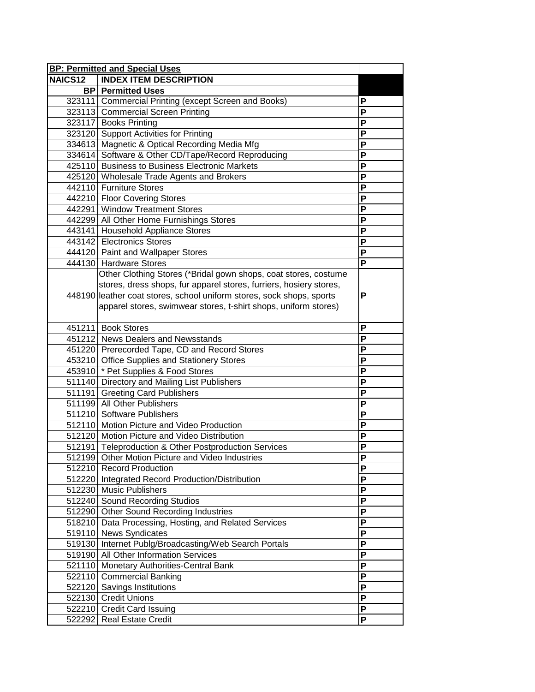|                | <b>BP: Permitted and Special Uses</b>                                 |                         |
|----------------|-----------------------------------------------------------------------|-------------------------|
| <b>NAICS12</b> | <b>INDEX ITEM DESCRIPTION</b>                                         |                         |
|                | <b>BP</b> Permitted Uses                                              |                         |
|                | 323111 Commercial Printing (except Screen and Books)                  | P                       |
|                | 323113 Commercial Screen Printing                                     | Ρ                       |
|                | 323117 Books Printing                                                 | P                       |
|                | 323120 Support Activities for Printing                                | P                       |
|                | 334613 Magnetic & Optical Recording Media Mfg                         | P                       |
|                | 334614 Software & Other CD/Tape/Record Reproducing                    | P                       |
|                | 425110 Business to Business Electronic Markets                        | P                       |
|                | 425120 Wholesale Trade Agents and Brokers                             | P                       |
|                | 442110 Furniture Stores                                               | P                       |
|                | 442210 Floor Covering Stores                                          | P                       |
|                | 442291 Window Treatment Stores                                        | P                       |
|                | 442299 All Other Home Furnishings Stores                              | P                       |
|                | 443141 Household Appliance Stores                                     | P                       |
|                | 443142 Electronics Stores                                             | P                       |
|                | 444120 Paint and Wallpaper Stores                                     | P                       |
|                | 444130 Hardware Stores                                                | $\overline{P}$          |
|                | Other Clothing Stores (*Bridal gown shops, coat stores, costume       |                         |
|                | stores, dress shops, fur apparel stores, furriers, hosiery stores,    |                         |
|                | 448190 leather coat stores, school uniform stores, sock shops, sports | P                       |
|                | apparel stores, swimwear stores, t-shirt shops, uniform stores)       |                         |
|                |                                                                       |                         |
|                | 451211 Book Stores                                                    | P                       |
|                | 451212 News Dealers and Newsstands                                    | P                       |
|                | 451220 Prerecorded Tape, CD and Record Stores                         | P                       |
|                | 453210 Office Supplies and Stationery Stores                          | P                       |
|                | 453910 <sup>*</sup> Pet Supplies & Food Stores                        | P                       |
|                | 511140 Directory and Mailing List Publishers                          | P                       |
|                | 511191 Greeting Card Publishers                                       | P                       |
|                | 511199 All Other Publishers                                           | P                       |
|                | 511210 Software Publishers                                            | P                       |
|                | 512110 Motion Picture and Video Production                            | P                       |
|                | 512120 Motion Picture and Video Distribution                          | $\overline{\mathsf{P}}$ |
|                | 512191 Teleproduction & Other Postproduction Services                 | P                       |
|                | 512199 Other Motion Picture and Video Industries                      | ٢                       |
|                | 512210 Record Production                                              | P                       |
|                | 512220 Integrated Record Production/Distribution                      | P                       |
|                | 512230 Music Publishers                                               | P                       |
|                | 512240 Sound Recording Studios                                        | P                       |
|                | 512290 Other Sound Recording Industries                               | P                       |
|                | 518210 Data Processing, Hosting, and Related Services                 | P                       |
|                | 519110 News Syndicates                                                | P                       |
|                | 519130 Internet Publg/Broadcasting/Web Search Portals                 | P                       |
|                | 519190 All Other Information Services                                 | P                       |
|                | 521110 Monetary Authorities-Central Bank                              | P                       |
|                | 522110 Commercial Banking                                             | P                       |
|                | 522120 Savings Institutions                                           | P                       |
|                | 522130 Credit Unions                                                  | P                       |
|                | 522210 Credit Card Issuing                                            | P                       |
|                | 522292 Real Estate Credit                                             | $\overline{P}$          |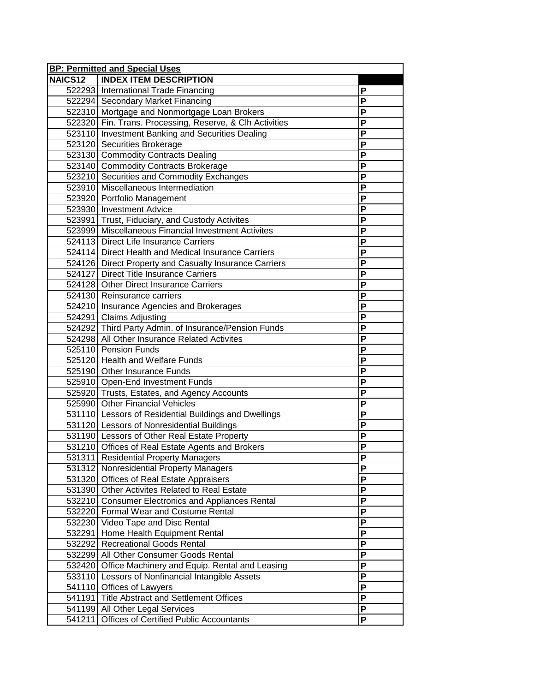|                | <b>BP: Permitted and Special Uses</b>                    |                         |
|----------------|----------------------------------------------------------|-------------------------|
| <b>NAICS12</b> | <b>INDEX ITEM DESCRIPTION</b>                            |                         |
|                | 522293 International Trade Financing                     | P                       |
|                | 522294 Secondary Market Financing                        | P                       |
|                | 522310 Mortgage and Nonmortgage Loan Brokers             | P                       |
|                | 522320 Fin. Trans. Processing, Reserve, & Clh Activities | P                       |
|                | 523110 Investment Banking and Securities Dealing         | P                       |
|                | 523120 Securities Brokerage                              | $\overline{P}$          |
|                | 523130 Commodity Contracts Dealing                       | P                       |
|                | 523140 Commodity Contracts Brokerage                     | P                       |
|                | 523210 Securities and Commodity Exchanges                | P                       |
|                | 523910 Miscellaneous Intermediation                      | P                       |
|                | 523920 Portfolio Management                              | P                       |
|                | 523930 Investment Advice                                 | P                       |
|                | 523991 Trust, Fiduciary, and Custody Activites           | P                       |
|                | 523999 Miscellaneous Financial Investment Activites      | P                       |
|                | 524113 Direct Life Insurance Carriers                    | $\overline{P}$          |
|                | 524114 Direct Health and Medical Insurance Carriers      | P                       |
|                | 524126 Direct Property and Casualty Insurance Carriers   | P                       |
|                | 524127 Direct Title Insurance Carriers                   | P                       |
|                | 524128 Other Direct Insurance Carriers                   | P                       |
|                | 524130 Reinsurance carriers                              | P                       |
|                | 524210 Insurance Agencies and Brokerages                 | P                       |
|                | 524291 Claims Adjusting                                  | P                       |
|                | 524292 Third Party Admin. of Insurance/Pension Funds     | $\overline{P}$          |
|                | 524298 All Other Insurance Related Activites             | P                       |
|                | 525110 Pension Funds                                     | P                       |
|                | 525120 Health and Welfare Funds                          | $\mathsf P$             |
|                | 525190 Other Insurance Funds                             | P                       |
|                | 525910 Open-End Investment Funds                         | P                       |
|                | 525920 Trusts, Estates, and Agency Accounts              | P                       |
|                | 525990 Other Financial Vehicles                          | $\overline{P}$          |
|                | 531110 Lessors of Residential Buildings and Dwellings    | $\overline{\mathsf{P}}$ |
|                | 531120 Lessors of Nonresidential Buildings               | P                       |
|                | 531190 Lessors of Other Real Estate Property             | P                       |
|                | 531210 Offices of Real Estate Agents and Brokers         | P                       |
|                | 531311 Residential Property Managers                     | P                       |
|                | 531312 Nonresidential Property Managers                  | P                       |
|                | 531320 Offices of Real Estate Appraisers                 | P                       |
|                | 531390 Other Activites Related to Real Estate            | P                       |
|                | 532210 Consumer Electronics and Appliances Rental        | P                       |
|                | 532220 Formal Wear and Costume Rental                    | P                       |
|                | 532230 Video Tape and Disc Rental                        | P                       |
|                | 532291 Home Health Equipment Rental                      | P                       |
|                | 532292 Recreational Goods Rental                         | P                       |
|                | 532299 All Other Consumer Goods Rental                   | P                       |
|                | 532420 Office Machinery and Equip. Rental and Leasing    | P                       |
|                | 533110 Lessors of Nonfinancial Intangible Assets         | P                       |
|                | 541110 Offices of Lawyers                                | P                       |
|                | 541191 Title Abstract and Settlement Offices             | $\overline{P}$          |
|                | 541199 All Other Legal Services                          | P                       |
| 541211         | Offices of Certified Public Accountants                  | P                       |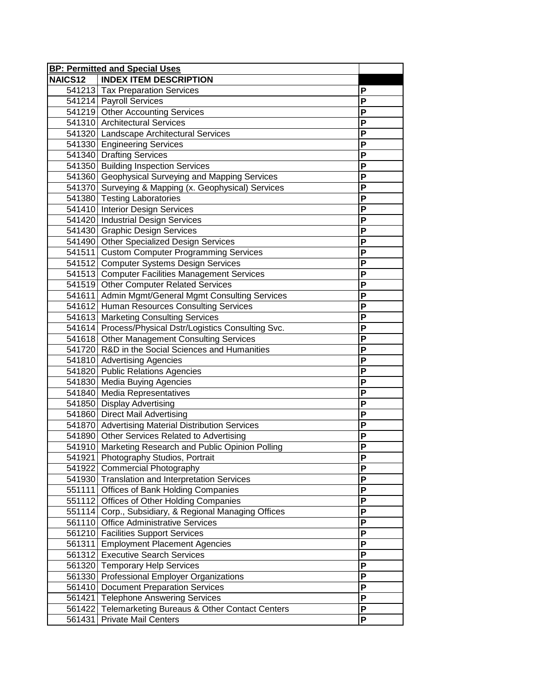|                | <b>BP: Permitted and Special Uses</b>                                               |                     |
|----------------|-------------------------------------------------------------------------------------|---------------------|
| <b>NAICS12</b> | <b>INDEX ITEM DESCRIPTION</b>                                                       |                     |
|                | 541213 Tax Preparation Services                                                     | P                   |
|                | 541214 Payroll Services                                                             | P                   |
|                | 541219 Other Accounting Services                                                    | P                   |
|                | 541310 Architectural Services                                                       | P                   |
|                | 541320 Landscape Architectural Services                                             | P                   |
|                | 541330 Engineering Services                                                         | P                   |
|                | 541340 Drafting Services                                                            | P                   |
|                | 541350 Building Inspection Services                                                 | P                   |
|                | 541360 Geophysical Surveying and Mapping Services                                   | P                   |
|                | 541370 Surveying & Mapping (x. Geophysical) Services                                | P                   |
|                | 541380 Testing Laboratories                                                         | P                   |
|                | 541410 Interior Design Services                                                     | P                   |
|                | 541420 Industrial Design Services                                                   | P                   |
|                | 541430 Graphic Design Services                                                      | P                   |
|                | 541490 Other Specialized Design Services                                            | $\overline{P}$      |
|                | 541511 Custom Computer Programming Services                                         | P                   |
|                | 541512 Computer Systems Design Services                                             | P                   |
|                | 541513 Computer Facilities Management Services                                      | P                   |
|                | 541519 Other Computer Related Services                                              | P                   |
|                | 541611 Admin Mgmt/General Mgmt Consulting Services                                  | P                   |
|                | 541612 Human Resources Consulting Services                                          | P                   |
|                | 541613 Marketing Consulting Services                                                | P                   |
|                | 541614 Process/Physical Dstr/Logistics Consulting Svc.                              | $\overline{P}$      |
|                | 541618 Other Management Consulting Services                                         | P                   |
|                | 541720 R&D in the Social Sciences and Humanities                                    | P                   |
|                | 541810 Advertising Agencies                                                         | P                   |
|                | 541820 Public Relations Agencies                                                    | P                   |
|                | 541830 Media Buying Agencies                                                        | P                   |
|                | 541840 Media Representatives                                                        | P                   |
|                | 541850 Display Advertising                                                          | P                   |
|                | 541860 Direct Mail Advertising                                                      | $\overline{P}$      |
|                | 541870 Advertising Material Distribution Services                                   | P                   |
|                | 541890 Other Services Related to Advertising                                        | P                   |
|                | 541910 Marketing Research and Public Opinion Polling                                | P                   |
|                | 541921 Photography Studios, Portrait                                                | Ρ                   |
|                | 541922 Commercial Photography                                                       | P                   |
|                | 541930 Translation and Interpretation Services                                      | P                   |
|                | 551111 Offices of Bank Holding Companies                                            | P                   |
|                | 551112 Offices of Other Holding Companies                                           | P                   |
|                | 551114 Corp., Subsidiary, & Regional Managing Offices                               | P                   |
|                | 561110 Office Administrative Services                                               | P                   |
|                | 561210 Facilities Support Services                                                  | P                   |
|                | 561311 Employment Placement Agencies                                                | P                   |
|                | 561312 Executive Search Services                                                    | P                   |
|                | 561320 Temporary Help Services                                                      | P                   |
|                | 561330 Professional Employer Organizations                                          | P                   |
|                | 561410 Document Preparation Services                                                | P<br>$\overline{P}$ |
|                | 561421 Telephone Answering Services                                                 | P                   |
| 561431         | 561422 Telemarketing Bureaus & Other Contact Centers<br><b>Private Mail Centers</b> | P                   |
|                |                                                                                     |                     |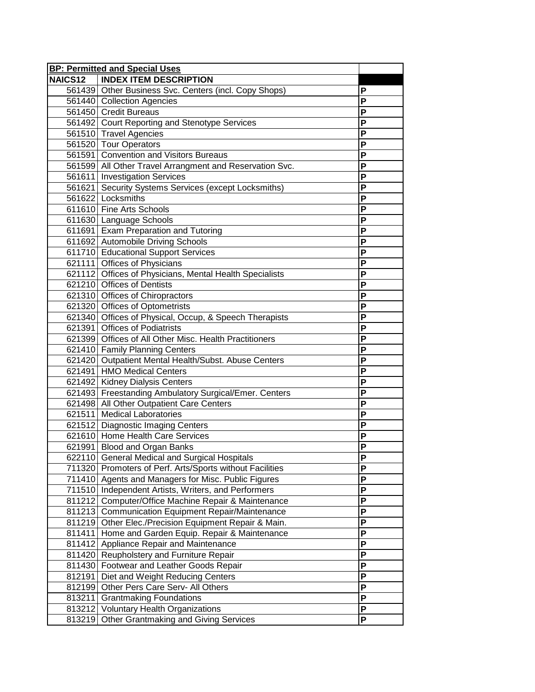|                | <b>BP: Permitted and Special Uses</b>                    |                           |
|----------------|----------------------------------------------------------|---------------------------|
| <b>NAICS12</b> | <b>INDEX ITEM DESCRIPTION</b>                            |                           |
|                | 561439 Other Business Svc. Centers (incl. Copy Shops)    | P                         |
|                | 561440 Collection Agencies                               | P                         |
|                | 561450 Credit Bureaus                                    | P                         |
|                | 561492 Court Reporting and Stenotype Services            | P                         |
|                | 561510 Travel Agencies                                   | P                         |
|                | 561520 Tour Operators                                    | P                         |
|                | 561591 Convention and Visitors Bureaus                   | $\mathsf{P}$              |
|                | 561599 All Other Travel Arrangment and Reservation Svc.  | P                         |
|                | 561611 Investigation Services                            | P                         |
|                | 561621 Security Systems Services (except Locksmiths)     | P                         |
|                | 561622 Locksmiths                                        | P                         |
|                | 611610 Fine Arts Schools                                 | P                         |
|                | 611630 Language Schools                                  | P                         |
|                | 611691 Exam Preparation and Tutoring                     | P                         |
|                | 611692 Automobile Driving Schools                        | $\overline{P}$            |
|                | 611710 Educational Support Services                      | P                         |
|                | 621111 Offices of Physicians                             | P                         |
|                | 621112 Offices of Physicians, Mental Health Specialists  | P                         |
|                | 621210 Offices of Dentists                               | P                         |
|                | 621310 Offices of Chiropractors                          | P                         |
|                | 621320 Offices of Optometrists                           | P                         |
|                | 621340 Offices of Physical, Occup, & Speech Therapists   | P                         |
|                | 621391 Offices of Podiatrists                            | $\overline{P}$            |
|                | 621399 Offices of All Other Misc. Health Practitioners   | P                         |
|                | 621410 Family Planning Centers                           | P                         |
|                | 621420 Outpatient Mental Health/Subst. Abuse Centers     | $\mathsf P$               |
|                | 621491 HMO Medical Centers                               | P                         |
|                | 621492 Kidney Dialysis Centers                           | P                         |
|                | 621493 Freestanding Ambulatory Surgical/Emer. Centers    | P                         |
|                | 621498 All Other Outpatient Care Centers                 | P                         |
|                | 621511 Medical Laboratories                              | $\overline{P}$            |
|                | 621512 Diagnostic Imaging Centers                        | P                         |
|                | 621610 Home Health Care Services                         | P                         |
|                | 621991 Blood and Organ Banks                             | P                         |
|                | 622110 General Medical and Surgical Hospitals            | P                         |
|                | 711320 Promoters of Perf. Arts/Sports without Facilities | P                         |
|                | 711410 Agents and Managers for Misc. Public Figures      | P                         |
|                | 711510 Independent Artists, Writers, and Performers      | P                         |
|                | 811212 Computer/Office Machine Repair & Maintenance      | P                         |
|                | 811213 Communication Equipment Repair/Maintenance        | P                         |
|                | 811219 Other Elec./Precision Equipment Repair & Main.    | P                         |
|                | 811411 Home and Garden Equip. Repair & Maintenance       | P                         |
|                | 811412 Appliance Repair and Maintenance                  | P                         |
|                | 811420 Reupholstery and Furniture Repair                 | P                         |
|                | 811430 Footwear and Leather Goods Repair                 | P                         |
| 812191         | Diet and Weight Reducing Centers                         | P                         |
|                | 812199 Other Pers Care Serv- All Others                  | P                         |
| 813211         | <b>Grantmaking Foundations</b>                           | $\overline{P}$            |
|                | 813212 Voluntary Health Organizations                    | $\boldsymbol{\mathsf{P}}$ |
| 813219         | Other Grantmaking and Giving Services                    | P                         |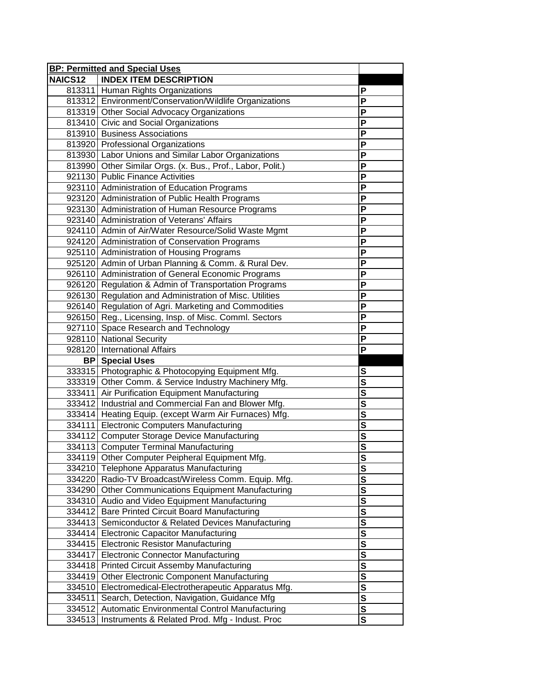|                | <b>BP: Permitted and Special Uses</b>                      |                         |
|----------------|------------------------------------------------------------|-------------------------|
| <b>NAICS12</b> | <b>INDEX ITEM DESCRIPTION</b>                              |                         |
|                | 813311 Human Rights Organizations                          | P                       |
|                | 813312 Environment/Conservation/Wildlife Organizations     | P                       |
|                | 813319 Other Social Advocacy Organizations                 | P                       |
|                | 813410 Civic and Social Organizations                      | P                       |
|                | 813910 Business Associations                               | P                       |
|                | 813920 Professional Organizations                          | $\overline{\mathsf{P}}$ |
|                | 813930 Labor Unions and Similar Labor Organizations        | P                       |
|                | 813990 Other Similar Orgs. (x. Bus., Prof., Labor, Polit.) | P                       |
|                | 921130 Public Finance Activities                           | P                       |
|                | 923110 Administration of Education Programs                | P                       |
|                | 923120 Administration of Public Health Programs            | P                       |
|                | 923130 Administration of Human Resource Programs           | P                       |
|                | 923140 Administration of Veterans' Affairs                 | P                       |
|                | 924110 Admin of Air/Water Resource/Solid Waste Mgmt        | $\overline{P}$          |
|                | 924120 Administration of Conservation Programs             | $\overline{\mathsf{P}}$ |
|                | 925110 Administration of Housing Programs                  | P                       |
|                | 925120 Admin of Urban Planning & Comm. & Rural Dev.        | P                       |
|                | 926110 Administration of General Economic Programs         | P                       |
|                | 926120 Regulation & Admin of Transportation Programs       | P                       |
|                | 926130 Regulation and Administration of Misc. Utilities    | P                       |
|                | 926140 Regulation of Agri. Marketing and Commodities       | P                       |
|                | 926150 Reg., Licensing, Insp. of Misc. Comml. Sectors      | P                       |
|                | 927110 Space Research and Technology                       | $\overline{\mathsf{P}}$ |
|                | 928110 National Security                                   | P                       |
|                | 928120 International Affairs                               | P                       |
|                | <b>BP</b> Special Uses                                     |                         |
|                | 333315 Photographic & Photocopying Equipment Mfg.          | S                       |
|                | 333319 Other Comm. & Service Industry Machinery Mfg.       | $\overline{\mathsf{s}}$ |
|                | 333411 Air Purification Equipment Manufacturing            | $\overline{\mathsf{s}}$ |
|                | 333412 Industrial and Commercial Fan and Blower Mfg.       |                         |
|                | 333414 Heating Equip. (except Warm Air Furnaces) Mfg.      |                         |
|                | 334111 Electronic Computers Manufacturing                  | $\overline{\mathbf{s}}$ |
|                | 334112 Computer Storage Device Manufacturing               | $\frac{s}{s}$           |
|                | 334113 Computer Terminal Manufacturing                     |                         |
|                | 334119 Other Computer Peipheral Equipment Mfg.             | <u>s</u>                |
|                | 334210 Telephone Apparatus Manufacturing                   | $\overline{\mathbf{s}}$ |
|                | 334220 Radio-TV Broadcast/Wireless Comm. Equip. Mfg.       | S                       |
|                | 334290 Other Communications Equipment Manufacturing        | $\overline{\mathsf{s}}$ |
|                | 334310 Audio and Video Equipment Manufacturing             | $\overline{\mathbf{s}}$ |
| 334412         | <b>Bare Printed Circuit Board Manufacturing</b>            | $\overline{\mathbf{s}}$ |
|                | 334413 Semiconductor & Related Devices Manufacturing       | $\overline{\mathbf{s}}$ |
|                | 334414 Electronic Capacitor Manufacturing                  | $\overline{\mathbf{s}}$ |
|                | 334415 Electronic Resistor Manufacturing                   | $\overline{\mathsf{s}}$ |
| 334417         | <b>Electronic Connector Manufacturing</b>                  | $\overline{\mathbf{s}}$ |
|                | 334418 Printed Circuit Assemby Manufacturing               | $\overline{\mathbf{s}}$ |
|                | 334419 Other Electronic Component Manufacturing            | $\overline{\mathsf{s}}$ |
| 334510         | Electromedical-Electrotherapeutic Apparatus Mfg.           | $\overline{\mathbf{s}}$ |
| 334511         | Search, Detection, Navigation, Guidance Mfg                | $\overline{\mathsf{s}}$ |
| 334512         | Automatic Environmental Control Manufacturing              | $\overline{\mathbf{s}}$ |
| 334513         | Instruments & Related Prod. Mfg - Indust. Proc             | $\overline{\mathsf{s}}$ |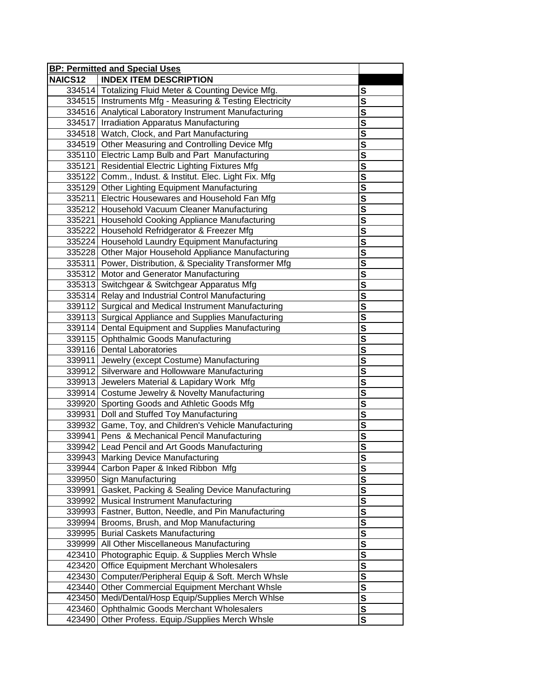|         | <b>BP: Permitted and Special Uses</b>                                                             |                                     |
|---------|---------------------------------------------------------------------------------------------------|-------------------------------------|
| NAICS12 | <b>INDEX ITEM DESCRIPTION</b>                                                                     |                                     |
|         | 334514 Totalizing Fluid Meter & Counting Device Mfg.                                              | S                                   |
|         | 334515 Instruments Mfg - Measuring & Testing Electricity                                          | $\overline{\mathbf{s}}$             |
|         | 334516 Analytical Laboratory Instrument Manufacturing                                             | $\overline{\mathbf{s}}$             |
|         | 334517 Irradiation Apparatus Manufacturing                                                        | $\overline{\mathsf{s}}$             |
|         | 334518 Watch, Clock, and Part Manufacturing                                                       | $\overline{\mathsf{s}}$             |
|         | 334519 Other Measuring and Controlling Device Mfg                                                 | $\overline{\mathbf{s}}$             |
|         | 335110 Electric Lamp Bulb and Part Manufacturing                                                  | $\overline{\mathbf{s}}$             |
|         | 335121 Residential Electric Lighting Fixtures Mfg                                                 | $\overline{\mathbf{s}}$             |
|         | 335122 Comm., Indust. & Institut. Elec. Light Fix. Mfg.                                           | $\overline{\mathbf{s}}$             |
|         |                                                                                                   | $\overline{\mathbf{s}}$             |
|         | 335129 Other Lighting Equipment Manufacturing<br>335211 Electric Housewares and Household Fan Mfg | $\overline{\mathbf{s}}$             |
|         |                                                                                                   | $\overline{\mathsf{s}}$             |
|         | 335212 Household Vacuum Cleaner Manufacturing                                                     | $\overline{\mathbf{s}}$             |
|         | 335221 Household Cooking Appliance Manufacturing                                                  | $\overline{\mathbf{s}}$             |
|         | 335222 Household Refridgerator & Freezer Mfg                                                      |                                     |
|         | 335224 Household Laundry Equipment Manufacturing                                                  | $\overline{\mathbf{s}}$             |
|         | 335228 Other Major Household Appliance Manufacturing                                              | S                                   |
|         | 335311 Power, Distribution, & Speciality Transformer Mfg                                          | $\overline{\mathbf{s}}$             |
|         | 335312 Motor and Generator Manufacturing                                                          | $\overline{\mathsf{s}}$             |
|         | 335313 Switchgear & Switchgear Apparatus Mfg                                                      | $\overline{\mathbf{s}}$             |
|         | 335314 Relay and Industrial Control Manufacturing                                                 | $\overline{\mathsf{s}}$             |
|         | 339112 Surgical and Medical Instrument Manufacturing                                              | $\overline{\mathsf{s}}$             |
|         | 339113 Surgical Appliance and Supplies Manufacturing                                              |                                     |
|         | 339114 Dental Equipment and Supplies Manufacturing                                                | $\overline{\mathbf{s}}$             |
|         | 339115 Ophthalmic Goods Manufacturing                                                             | $\overline{\mathbf{s}}$             |
|         | 339116 Dental Laboratories                                                                        | $rac{s}{s}$                         |
|         | 339911 Jewelry (except Costume) Manufacturing                                                     |                                     |
|         | 339912 Silverware and Hollowware Manufacturing                                                    | $\overline{\mathbf{s}}$             |
|         | 339913 Jewelers Material & Lapidary Work Mfg                                                      | $\overline{\mathbf{s}}$             |
|         | 339914 Costume Jewelry & Novelty Manufacturing                                                    | $\overline{s}$                      |
|         | 339920 Sporting Goods and Athletic Goods Mfg                                                      | $\overline{s}$                      |
|         | 339931 Doll and Stuffed Toy Manufacturing                                                         | $\overline{\mathbf{s}}$             |
|         | 339932 Game, Toy, and Children's Vehicle Manufacturing                                            | $\overline{\mathbf{s}}$             |
|         | 339941 Pens & Mechanical Pencil Manufacturing                                                     | S                                   |
|         | 339942 Lead Pencil and Art Goods Manufacturing                                                    | $\frac{\overline{s}}{\overline{s}}$ |
|         | 339943 Marking Device Manufacturing                                                               |                                     |
|         | 339944 Carbon Paper & Inked Ribbon Mfg                                                            | $\overline{\mathbf{s}}$             |
|         | 339950 Sign Manufacturing                                                                         | $\overline{\mathsf{s}}$             |
|         | 339991 Gasket, Packing & Sealing Device Manufacturing                                             | $\frac{s}{s}$                       |
|         | 339992 Musical Instrument Manufacturing                                                           |                                     |
|         | 339993 Fastner, Button, Needle, and Pin Manufacturing                                             | $\overline{\mathbf{s}}$             |
|         | 339994 Brooms, Brush, and Mop Manufacturing                                                       | $\overline{\mathbf{s}}$             |
|         | 339995 Burial Caskets Manufacturing                                                               |                                     |
|         | 339999 All Other Miscellaneous Manufacturing                                                      | $rac{s}{s}$                         |
|         | 423410 Photographic Equip. & Supplies Merch Whsle                                                 |                                     |
|         | 423420 Office Equipment Merchant Wholesalers                                                      | $\frac{s}{s}$                       |
|         | 423430 Computer/Peripheral Equip & Soft. Merch Whsle                                              |                                     |
|         | 423440 Other Commercial Equipment Merchant Whsle                                                  | $rac{1}{s}$                         |
|         | 423450 Medi/Dental/Hosp Equip/Supplies Merch Whlse                                                | $\overline{\mathbf{s}}$             |
|         | 423460 Ophthalmic Goods Merchant Wholesalers                                                      | $\overline{\mathbf{s}}$             |
|         | 423490 Other Profess. Equip./Supplies Merch Whsle                                                 | $\overline{\mathbf{s}}$             |
|         |                                                                                                   |                                     |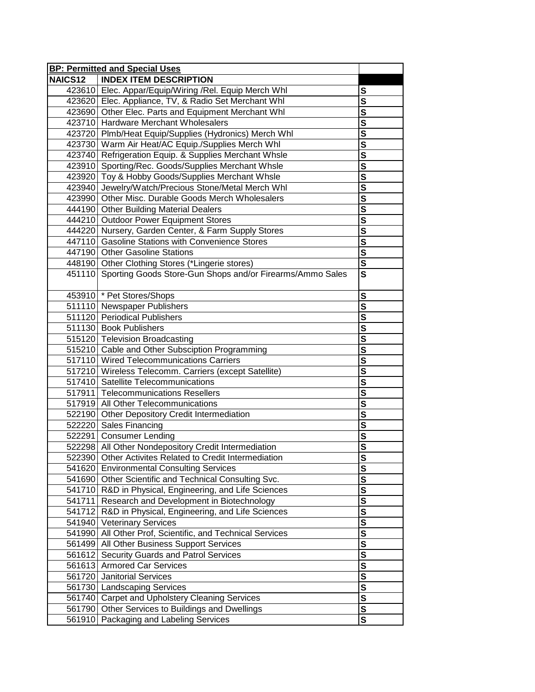|                | <b>BP: Permitted and Special Uses</b>                            |                                     |
|----------------|------------------------------------------------------------------|-------------------------------------|
| <b>NAICS12</b> | <b>INDEX ITEM DESCRIPTION</b>                                    |                                     |
|                | 423610 Elec. Appar/Equip/Wiring /Rel. Equip Merch Whl            | S                                   |
|                | 423620 Elec. Appliance, TV, & Radio Set Merchant Whl             | S                                   |
|                | 423690 Other Elec. Parts and Equipment Merchant Whl              | $\mathbf s$                         |
|                | 423710 Hardware Merchant Wholesalers                             | $\overline{\mathbf{s}}$             |
|                | 423720 Plmb/Heat Equip/Supplies (Hydronics) Merch Whl            |                                     |
|                | 423730 Warm Air Heat/AC Equip./Supplies Merch Whl                | $\overline{\mathbf{s}}$             |
|                | 423740 Refrigeration Equip. & Supplies Merchant Whsle            | $\overline{\mathbf{s}}$             |
|                | 423910 Sporting/Rec. Goods/Supplies Merchant Whsle               | S                                   |
|                | 423920 Toy & Hobby Goods/Supplies Merchant Whsle                 | $\overline{\mathbf{s}}$             |
|                | 423940 Jewelry/Watch/Precious Stone/Metal Merch Whl              | $\overline{\mathbf{s}}$             |
|                | 423990 Other Misc. Durable Goods Merch Wholesalers               | $\overline{\mathbf{s}}$             |
|                | 444190 Other Building Material Dealers                           | $\overline{\mathbf{s}}$             |
|                | 444210 Outdoor Power Equipment Stores                            | $\overline{\mathbf{s}}$             |
|                | 444220 Nursery, Garden Center, & Farm Supply Stores              | $\overline{\mathbf{s}}$             |
|                | 447110 Gasoline Stations with Convenience Stores                 | $\overline{\mathbf{s}}$             |
|                | 447190 Other Gasoline Stations                                   | $\overline{\mathbf{s}}$             |
|                | 448190 Other Clothing Stores (*Lingerie stores)                  | $\overline{\mathbf{s}}$             |
|                | 451110 Sporting Goods Store-Gun Shops and/or Firearms/Ammo Sales | $\overline{\mathbf{s}}$             |
|                | 453910 * Pet Stores/Shops                                        | S                                   |
|                | 511110 Newspaper Publishers                                      | $\overline{\mathsf{s}}$             |
|                | 511120 Periodical Publishers                                     |                                     |
|                | 511130 Book Publishers                                           | $\overline{\mathbf{s}}$             |
|                | 515120 Television Broadcasting                                   | $\overline{\mathbf{s}}$             |
|                | 515210 Cable and Other Subsciption Programming                   | $\overline{\mathbf{s}}$             |
|                | 517110 Wired Telecommunications Carriers                         | $\overline{\mathsf{s}}$             |
|                | 517210 Wireless Telecomm. Carriers (except Satellite)            | $\overline{\mathbf{s}}$             |
|                | 517410 Satellite Telecommunications                              | $\overline{\mathbf{s}}$             |
|                | 517911 Telecommunications Resellers                              | $\frac{\overline{s}}{\overline{s}}$ |
|                | 517919 All Other Telecommunications                              |                                     |
|                | 522190 Other Depository Credit Intermediation                    | $\overline{\mathbf{s}}$             |
|                | 522220 Sales Financing                                           | $\overline{\mathbf{s}}$             |
|                | 522291 Consumer Lending                                          | <u>s</u>                            |
|                | 522298 All Other Nondepository Credit Intermediation             |                                     |
|                | 522390 Other Activites Related to Credit Intermediation          | <u>s</u>                            |
|                | 541620 Environmental Consulting Services                         | $\mathbf s$                         |
|                | 541690 Other Scientific and Technical Consulting Svc.            | $\mathbf s$                         |
|                | 541710 R&D in Physical, Engineering, and Life Sciences           | $\overline{\mathbf{s}}$             |
|                | 541711 Research and Development in Biotechnology                 | $\bf{s}$                            |
|                | 541712 R&D in Physical, Engineering, and Life Sciences           | S                                   |
|                | 541940 Veterinary Services                                       | ${\bf S}$                           |
|                | 541990 All Other Prof, Scientific, and Technical Services        | S                                   |
|                | 561499 All Other Business Support Services                       | $\overline{\mathbf{s}}$             |
|                | 561612 Security Guards and Patrol Services                       | $\overline{\mathbf{s}}$             |
|                | 561613 Armored Car Services                                      | $\overline{\mathbf{s}}$             |
|                | 561720 Janitorial Services                                       | $\frac{s}{s}$                       |
|                | 561730 Landscaping Services                                      |                                     |
|                | 561740 Carpet and Upholstery Cleaning Services                   | $\overline{\mathbf{s}}$             |
|                | 561790 Other Services to Buildings and Dwellings                 | ${\bf S}$                           |
|                | 561910 Packaging and Labeling Services                           | $\overline{\mathbf{s}}$             |